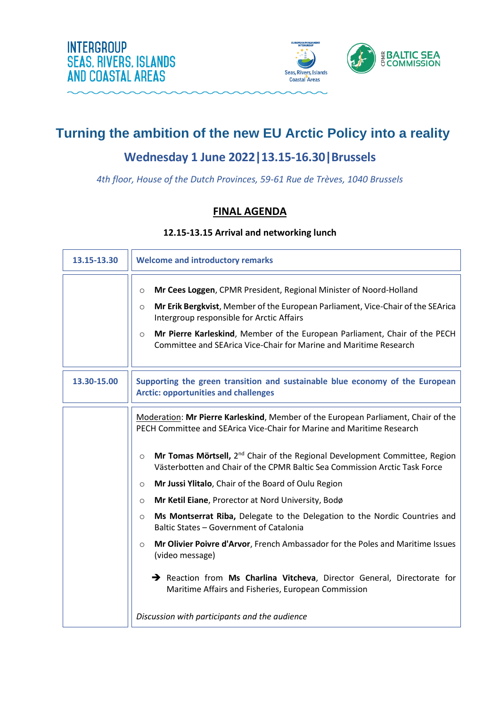



# **Turning the ambition of the new EU Arctic Policy into a reality**

### **Wednesday 1 June 2022|13.15-16.30|Brussels**

*4th floor, House of the Dutch Provinces, 59-61 Rue de Trèves, 1040 Brussels*

### **FINAL AGENDA**

### **12.15-13.15 Arrival and networking lunch**

| 13.15-13.30 | <b>Welcome and introductory remarks</b>                                                                                                                                                                                                                                                                                                                                                                                                                                                                                                                                                                                                                                                                                                                                                                                                                               |
|-------------|-----------------------------------------------------------------------------------------------------------------------------------------------------------------------------------------------------------------------------------------------------------------------------------------------------------------------------------------------------------------------------------------------------------------------------------------------------------------------------------------------------------------------------------------------------------------------------------------------------------------------------------------------------------------------------------------------------------------------------------------------------------------------------------------------------------------------------------------------------------------------|
|             | Mr Cees Loggen, CPMR President, Regional Minister of Noord-Holland<br>$\circ$<br>Mr Erik Bergkvist, Member of the European Parliament, Vice-Chair of the SEArica<br>$\circ$<br>Intergroup responsible for Arctic Affairs<br>Mr Pierre Karleskind, Member of the European Parliament, Chair of the PECH<br>$\circ$<br>Committee and SEArica Vice-Chair for Marine and Maritime Research                                                                                                                                                                                                                                                                                                                                                                                                                                                                                |
| 13.30-15.00 | Supporting the green transition and sustainable blue economy of the European<br><b>Arctic: opportunities and challenges</b>                                                                                                                                                                                                                                                                                                                                                                                                                                                                                                                                                                                                                                                                                                                                           |
|             | Moderation: Mr Pierre Karleskind, Member of the European Parliament, Chair of the<br>PECH Committee and SEArica Vice-Chair for Marine and Maritime Research<br><b>Mr Tomas Mörtsell,</b> $2^{nd}$ Chair of the Regional Development Committee, Region<br>$\circ$<br>Västerbotten and Chair of the CPMR Baltic Sea Commission Arctic Task Force<br>Mr Jussi Ylitalo, Chair of the Board of Oulu Region<br>$\circ$<br>Mr Ketil Eiane, Prorector at Nord University, Bodø<br>$\circ$<br>Ms Montserrat Riba, Delegate to the Delegation to the Nordic Countries and<br>$\circ$<br>Baltic States - Government of Catalonia<br>Mr Olivier Poivre d'Arvor, French Ambassador for the Poles and Maritime Issues<br>$\circ$<br>(video message)<br>Reaction from Ms Charlina Vitcheva, Director General, Directorate for<br>Maritime Affairs and Fisheries, European Commission |
|             | Discussion with participants and the audience                                                                                                                                                                                                                                                                                                                                                                                                                                                                                                                                                                                                                                                                                                                                                                                                                         |